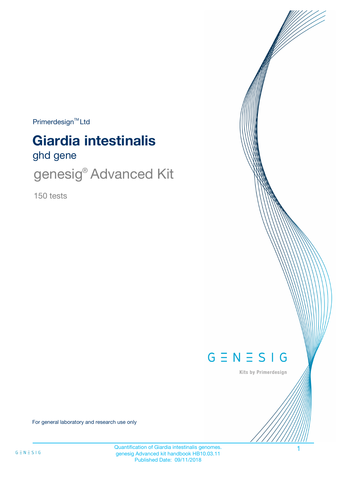$Primerdesign<sup>™</sup>Ltd$ 

# ghd gene **Giardia intestinalis**

genesig® Advanced Kit

150 tests



Kits by Primerdesign

For general laboratory and research use only

Quantification of Giardia intestinalis genomes. 1 genesig Advanced kit handbook HB10.03.11 Published Date: 09/11/2018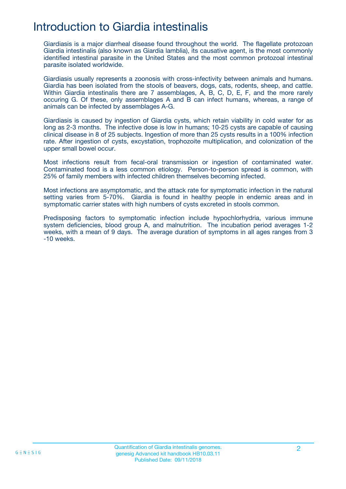## Introduction to Giardia intestinalis

Giardiasis is a major diarrheal disease found throughout the world. The flagellate protozoan Giardia intestinalis (also known as Giardia lamblia), its causative agent, is the most commonly identified intestinal parasite in the United States and the most common protozoal intestinal parasite isolated worldwide.

Giardiasis usually represents a zoonosis with cross-infectivity between animals and humans. Giardia has been isolated from the stools of beavers, dogs, cats, rodents, sheep, and cattle. Within Giardia intestinalis there are 7 assemblages, A, B, C, D, E, F, and the more rarely occuring G. Of these, only assemblages A and B can infect humans, whereas, a range of animals can be infected by assemblages A-G.

Giardiasis is caused by ingestion of Giardia cysts, which retain viability in cold water for as long as 2-3 months. The infective dose is low in humans; 10-25 cysts are capable of causing clinical disease in 8 of 25 subjects. Ingestion of more than 25 cysts results in a 100% infection rate. After ingestion of cysts, excystation, trophozoite multiplication, and colonization of the upper small bowel occur.

Most infections result from fecal-oral transmission or ingestion of contaminated water. Contaminated food is a less common etiology. Person-to-person spread is common, with 25% of family members with infected children themselves becoming infected.

Most infections are asymptomatic, and the attack rate for symptomatic infection in the natural setting varies from 5-70%. Giardia is found in healthy people in endemic areas and in symptomatic carrier states with high numbers of cysts excreted in stools common.

Predisposing factors to symptomatic infection include hypochlorhydria, various immune system deficiencies, blood group A, and malnutrition. The incubation period averages 1-2 weeks, with a mean of 9 days. The average duration of symptoms in all ages ranges from 3 -10 weeks.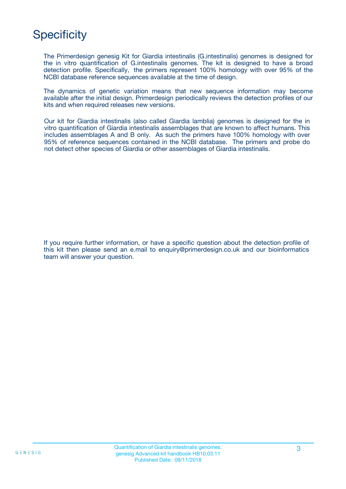## **Specificity**

The Primerdesign genesig Kit for Giardia intestinalis (G.intestinalis) genomes is designed for the in vitro quantification of G.intestinalis genomes. The kit is designed to have a broad detection profile. Specifically, the primers represent 100% homology with over 95% of the NCBI database reference sequences available at the time of design.

The dynamics of genetic variation means that new sequence information may become available after the initial design. Primerdesign periodically reviews the detection profiles of our kits and when required releases new versions.

Our kit for Giardia intestinalis (also called Giardia lamblia) genomes is designed for the in vitro quantification of Giardia intestinalis assemblages that are known to affect humans. This includes assemblages A and B only. As such the primers have 100% homology with over 95% of reference sequences contained in the NCBI database. The primers and probe do not detect other species of Giardia or other assemblages of Giardia intestinalis.

If you require further information, or have a specific question about the detection profile of this kit then please send an e.mail to enquiry@primerdesign.co.uk and our bioinformatics team will answer your question.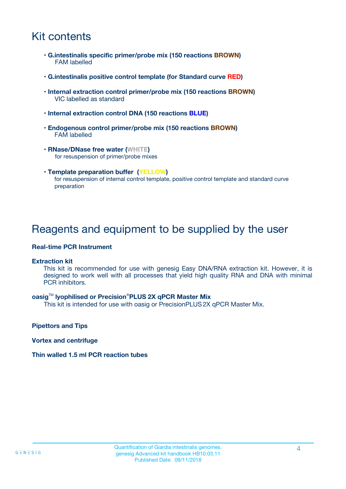## Kit contents

- **G.intestinalis specific primer/probe mix (150 reactions BROWN)** FAM labelled
- **G.intestinalis positive control template (for Standard curve RED)**
- **Internal extraction control primer/probe mix (150 reactions BROWN)** VIC labelled as standard
- **Internal extraction control DNA (150 reactions BLUE)**
- **Endogenous control primer/probe mix (150 reactions BROWN)** FAM labelled
- **RNase/DNase free water (WHITE)** for resuspension of primer/probe mixes
- **Template preparation buffer (YELLOW)** for resuspension of internal control template, positive control template and standard curve preparation

### Reagents and equipment to be supplied by the user

#### **Real-time PCR Instrument**

#### **Extraction kit**

This kit is recommended for use with genesig Easy DNA/RNA extraction kit. However, it is designed to work well with all processes that yield high quality RNA and DNA with minimal PCR inhibitors.

#### **oasig**TM **lyophilised or Precision**®**PLUS 2X qPCR Master Mix**

This kit is intended for use with oasig or PrecisionPLUS2X qPCR Master Mix.

**Pipettors and Tips**

**Vortex and centrifuge**

#### **Thin walled 1.5 ml PCR reaction tubes**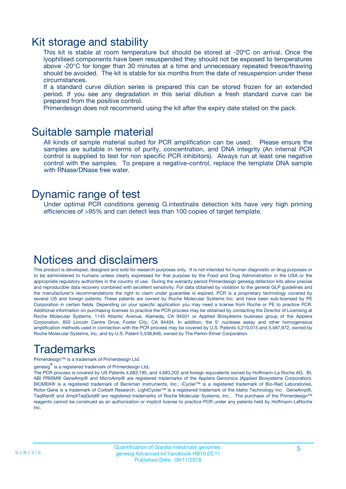### Kit storage and stability

This kit is stable at room temperature but should be stored at -20ºC on arrival. Once the lyophilised components have been resuspended they should not be exposed to temperatures above -20°C for longer than 30 minutes at a time and unnecessary repeated freeze/thawing should be avoided. The kit is stable for six months from the date of resuspension under these circumstances.

If a standard curve dilution series is prepared this can be stored frozen for an extended period. If you see any degradation in this serial dilution a fresh standard curve can be prepared from the positive control.

Primerdesign does not recommend using the kit after the expiry date stated on the pack.

### Suitable sample material

All kinds of sample material suited for PCR amplification can be used. Please ensure the samples are suitable in terms of purity, concentration, and DNA integrity (An internal PCR control is supplied to test for non specific PCR inhibitors). Always run at least one negative control with the samples. To prepare a negative-control, replace the template DNA sample with RNase/DNase free water.

### Dynamic range of test

Under optimal PCR conditions genesig G.intestinalis detection kits have very high priming efficiencies of >95% and can detect less than 100 copies of target template.

### Notices and disclaimers

This product is developed, designed and sold for research purposes only. It is not intended for human diagnostic or drug purposes or to be administered to humans unless clearly expressed for that purpose by the Food and Drug Administration in the USA or the appropriate regulatory authorities in the country of use. During the warranty period Primerdesign genesig detection kits allow precise and reproducible data recovery combined with excellent sensitivity. For data obtained by violation to the general GLP guidelines and the manufacturer's recommendations the right to claim under guarantee is expired. PCR is a proprietary technology covered by several US and foreign patents. These patents are owned by Roche Molecular Systems Inc. and have been sub-licensed by PE Corporation in certain fields. Depending on your specific application you may need a license from Roche or PE to practice PCR. Additional information on purchasing licenses to practice the PCR process may be obtained by contacting the Director of Licensing at Roche Molecular Systems, 1145 Atlantic Avenue, Alameda, CA 94501 or Applied Biosystems business group of the Applera Corporation, 850 Lincoln Centre Drive, Foster City, CA 94404. In addition, the 5' nuclease assay and other homogeneous amplification methods used in connection with the PCR process may be covered by U.S. Patents 5,210,015 and 5,487,972, owned by Roche Molecular Systems, Inc, and by U.S. Patent 5,538,848, owned by The Perkin-Elmer Corporation.

## Trademarks

Primerdesign™ is a trademark of Primerdesign Ltd.

genesig $^\circledR$  is a registered trademark of Primerdesign Ltd.

The PCR process is covered by US Patents 4,683,195, and 4,683,202 and foreign equivalents owned by Hoffmann-La Roche AG. BI, ABI PRISM® GeneAmp® and MicroAmp® are registered trademarks of the Applera Genomics (Applied Biosystems Corporation). BIOMEK® is a registered trademark of Beckman Instruments, Inc.; iCycler™ is a registered trademark of Bio-Rad Laboratories, Rotor-Gene is a trademark of Corbett Research. LightCycler™ is a registered trademark of the Idaho Technology Inc. GeneAmp®, TaqMan® and AmpliTaqGold® are registered trademarks of Roche Molecular Systems, Inc., The purchase of the Primerdesign™ reagents cannot be construed as an authorization or implicit license to practice PCR under any patents held by Hoffmann-LaRoche Inc.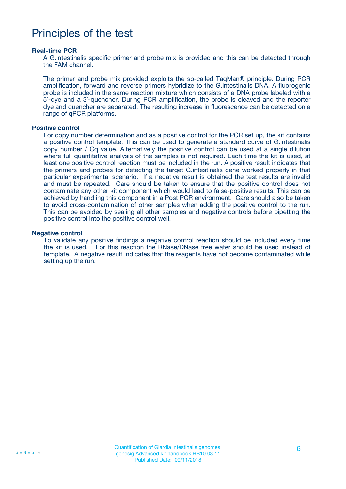## Principles of the test

#### **Real-time PCR**

A G.intestinalis specific primer and probe mix is provided and this can be detected through the FAM channel.

The primer and probe mix provided exploits the so-called TaqMan® principle. During PCR amplification, forward and reverse primers hybridize to the G.intestinalis DNA. A fluorogenic probe is included in the same reaction mixture which consists of a DNA probe labeled with a 5`-dye and a 3`-quencher. During PCR amplification, the probe is cleaved and the reporter dye and quencher are separated. The resulting increase in fluorescence can be detected on a range of qPCR platforms.

#### **Positive control**

For copy number determination and as a positive control for the PCR set up, the kit contains a positive control template. This can be used to generate a standard curve of G.intestinalis copy number / Cq value. Alternatively the positive control can be used at a single dilution where full quantitative analysis of the samples is not required. Each time the kit is used, at least one positive control reaction must be included in the run. A positive result indicates that the primers and probes for detecting the target G.intestinalis gene worked properly in that particular experimental scenario. If a negative result is obtained the test results are invalid and must be repeated. Care should be taken to ensure that the positive control does not contaminate any other kit component which would lead to false-positive results. This can be achieved by handling this component in a Post PCR environment. Care should also be taken to avoid cross-contamination of other samples when adding the positive control to the run. This can be avoided by sealing all other samples and negative controls before pipetting the positive control into the positive control well.

#### **Negative control**

To validate any positive findings a negative control reaction should be included every time the kit is used. For this reaction the RNase/DNase free water should be used instead of template. A negative result indicates that the reagents have not become contaminated while setting up the run.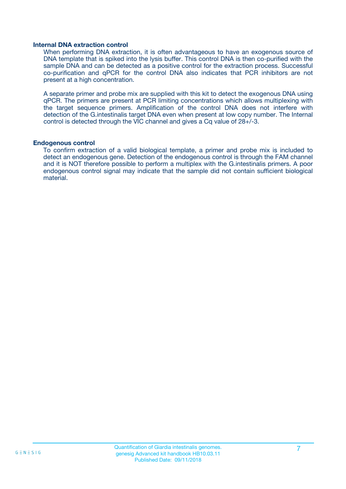#### **Internal DNA extraction control**

When performing DNA extraction, it is often advantageous to have an exogenous source of DNA template that is spiked into the lysis buffer. This control DNA is then co-purified with the sample DNA and can be detected as a positive control for the extraction process. Successful co-purification and qPCR for the control DNA also indicates that PCR inhibitors are not present at a high concentration.

A separate primer and probe mix are supplied with this kit to detect the exogenous DNA using qPCR. The primers are present at PCR limiting concentrations which allows multiplexing with the target sequence primers. Amplification of the control DNA does not interfere with detection of the G.intestinalis target DNA even when present at low copy number. The Internal control is detected through the VIC channel and gives a Cq value of 28+/-3.

#### **Endogenous control**

To confirm extraction of a valid biological template, a primer and probe mix is included to detect an endogenous gene. Detection of the endogenous control is through the FAM channel and it is NOT therefore possible to perform a multiplex with the G.intestinalis primers. A poor endogenous control signal may indicate that the sample did not contain sufficient biological material.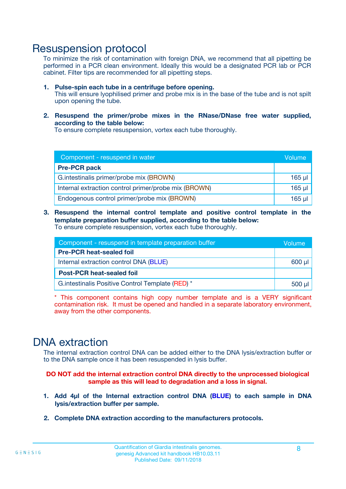### Resuspension protocol

To minimize the risk of contamination with foreign DNA, we recommend that all pipetting be performed in a PCR clean environment. Ideally this would be a designated PCR lab or PCR cabinet. Filter tips are recommended for all pipetting steps.

- **1. Pulse-spin each tube in a centrifuge before opening.** This will ensure lyophilised primer and probe mix is in the base of the tube and is not spilt upon opening the tube.
- **2. Resuspend the primer/probe mixes in the RNase/DNase free water supplied, according to the table below:**

To ensure complete resuspension, vortex each tube thoroughly.

| Component - resuspend in water                       |          |  |
|------------------------------------------------------|----------|--|
| <b>Pre-PCR pack</b>                                  |          |  |
| G. intestinalis primer/probe mix (BROWN)             | $165$ µl |  |
| Internal extraction control primer/probe mix (BROWN) | $165$ µl |  |
| Endogenous control primer/probe mix (BROWN)          | 165 µl   |  |

**3. Resuspend the internal control template and positive control template in the template preparation buffer supplied, according to the table below:** To ensure complete resuspension, vortex each tube thoroughly.

| Component - resuspend in template preparation buffer |  |  |  |
|------------------------------------------------------|--|--|--|
| <b>Pre-PCR heat-sealed foil</b>                      |  |  |  |
| Internal extraction control DNA (BLUE)               |  |  |  |
| <b>Post-PCR heat-sealed foil</b>                     |  |  |  |
| G. intestinalis Positive Control Template (RED) *    |  |  |  |

\* This component contains high copy number template and is a VERY significant contamination risk. It must be opened and handled in a separate laboratory environment, away from the other components.

### DNA extraction

The internal extraction control DNA can be added either to the DNA lysis/extraction buffer or to the DNA sample once it has been resuspended in lysis buffer.

**DO NOT add the internal extraction control DNA directly to the unprocessed biological sample as this will lead to degradation and a loss in signal.**

- **1. Add 4µl of the Internal extraction control DNA (BLUE) to each sample in DNA lysis/extraction buffer per sample.**
- **2. Complete DNA extraction according to the manufacturers protocols.**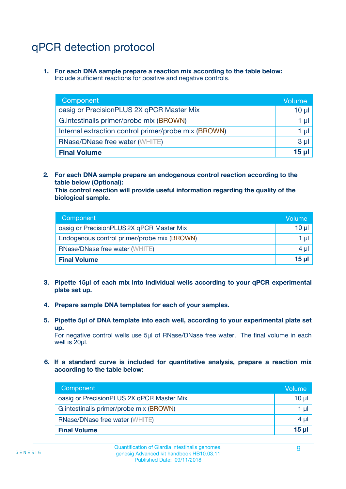## qPCR detection protocol

**1. For each DNA sample prepare a reaction mix according to the table below:** Include sufficient reactions for positive and negative controls.

| Component                                            | Volume   |
|------------------------------------------------------|----------|
| oasig or PrecisionPLUS 2X qPCR Master Mix            | $10 \mu$ |
| G.intestinalis primer/probe mix (BROWN)              | 1 µI     |
| Internal extraction control primer/probe mix (BROWN) | 1 µl     |
| <b>RNase/DNase free water (WHITE)</b>                | $3 \mu$  |
| <b>Final Volume</b>                                  | 15 µl    |

**2. For each DNA sample prepare an endogenous control reaction according to the table below (Optional):**

**This control reaction will provide useful information regarding the quality of the biological sample.**

| Component                                   | Volume   |
|---------------------------------------------|----------|
| oasig or PrecisionPLUS 2X qPCR Master Mix   | $10 \mu$ |
| Endogenous control primer/probe mix (BROWN) | 1 µI     |
| <b>RNase/DNase free water (WHITE)</b>       | $4 \mu$  |
| <b>Final Volume</b>                         | 15 µl    |

- **3. Pipette 15µl of each mix into individual wells according to your qPCR experimental plate set up.**
- **4. Prepare sample DNA templates for each of your samples.**
- **5. Pipette 5µl of DNA template into each well, according to your experimental plate set up.**

For negative control wells use 5µl of RNase/DNase free water. The final volume in each well is 20ul.

**6. If a standard curve is included for quantitative analysis, prepare a reaction mix according to the table below:**

| Component                                 | Volume          |
|-------------------------------------------|-----------------|
| oasig or PrecisionPLUS 2X qPCR Master Mix | 10 $\mu$        |
| G.intestinalis primer/probe mix (BROWN)   | 1 µI -          |
| <b>RNase/DNase free water (WHITE)</b>     | 4 µl            |
| <b>Final Volume</b>                       | 15 <sub>µ</sub> |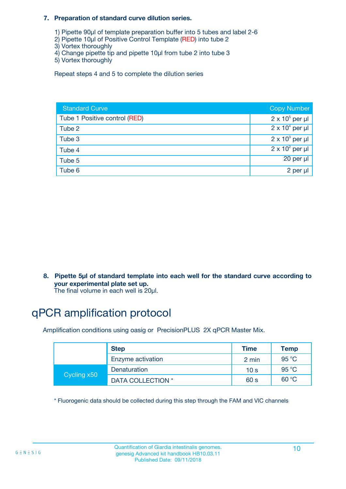#### **7. Preparation of standard curve dilution series.**

- 1) Pipette 90µl of template preparation buffer into 5 tubes and label 2-6
- 2) Pipette 10µl of Positive Control Template (RED) into tube 2
- 3) Vortex thoroughly
- 4) Change pipette tip and pipette 10µl from tube 2 into tube 3
- 5) Vortex thoroughly

Repeat steps 4 and 5 to complete the dilution series

| <b>Standard Curve</b>         | <b>Copy Number</b>     |
|-------------------------------|------------------------|
| Tube 1 Positive control (RED) | $2 \times 10^5$ per µl |
| Tube 2                        | $2 \times 10^4$ per µl |
| Tube 3                        | $2 \times 10^3$ per µl |
| Tube 4                        | $2 \times 10^2$ per µl |
| Tube 5                        | 20 per µl              |
| Tube 6                        | 2 per µl               |

**8. Pipette 5µl of standard template into each well for the standard curve according to your experimental plate set up.**

#### The final volume in each well is 20µl.

## qPCR amplification protocol

Amplification conditions using oasig or PrecisionPLUS 2X qPCR Master Mix.

|             | <b>Step</b>       | <b>Time</b>     | Temp    |
|-------------|-------------------|-----------------|---------|
|             | Enzyme activation | 2 min           | 95 °C   |
| Cycling x50 | Denaturation      | 10 <sub>s</sub> | 95 $°C$ |
|             | DATA COLLECTION * | 60 s            | 60 °C   |

\* Fluorogenic data should be collected during this step through the FAM and VIC channels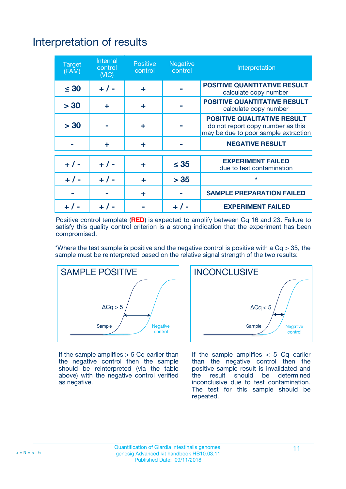# Interpretation of results

| <b>Target</b><br>(FAM) | <b>Internal</b><br>control<br>(NIC) | <b>Positive</b><br>control | <b>Negative</b><br>control | Interpretation                                                                                                  |
|------------------------|-------------------------------------|----------------------------|----------------------------|-----------------------------------------------------------------------------------------------------------------|
| $\leq 30$              | $+ 1 -$                             | ÷                          |                            | <b>POSITIVE QUANTITATIVE RESULT</b><br>calculate copy number                                                    |
| > 30                   | ٠                                   | ÷                          |                            | <b>POSITIVE QUANTITATIVE RESULT</b><br>calculate copy number                                                    |
| > 30                   |                                     | ÷                          |                            | <b>POSITIVE QUALITATIVE RESULT</b><br>do not report copy number as this<br>may be due to poor sample extraction |
|                        | ÷                                   | ÷                          |                            | <b>NEGATIVE RESULT</b>                                                                                          |
| $+ 1 -$                | $+ 1 -$                             | ÷                          | $\leq$ 35                  | <b>EXPERIMENT FAILED</b><br>due to test contamination                                                           |
| $+$ / -                | $+ 1 -$                             | ÷                          | > 35                       | $\star$                                                                                                         |
|                        |                                     | ÷                          |                            | <b>SAMPLE PREPARATION FAILED</b>                                                                                |
|                        |                                     |                            | $+$ /                      | <b>EXPERIMENT FAILED</b>                                                                                        |

Positive control template (**RED**) is expected to amplify between Cq 16 and 23. Failure to satisfy this quality control criterion is a strong indication that the experiment has been compromised.

\*Where the test sample is positive and the negative control is positive with a  $Ca > 35$ , the sample must be reinterpreted based on the relative signal strength of the two results:



If the sample amplifies  $> 5$  Cq earlier than the negative control then the sample should be reinterpreted (via the table above) with the negative control verified as negative.



If the sample amplifies  $< 5$  Cq earlier than the negative control then the positive sample result is invalidated and<br>the result should be determined  $the$  result should be inconclusive due to test contamination. The test for this sample should be repeated.